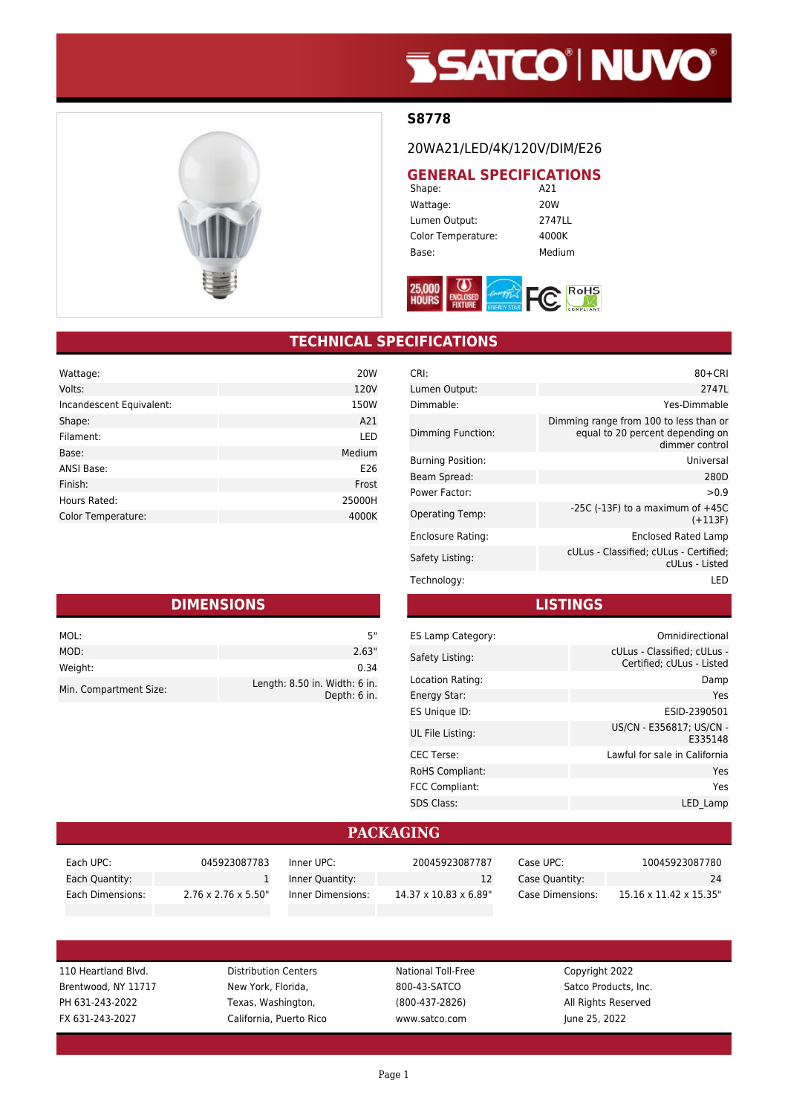# **SSATCO' NUVO'**



#### **S8778**

20WA21/LED/4K/120V/DIM/E26

## **GENERAL SPECIFICATIONS**<br>A21

Shape: Wattage: 20W Lumen Output: 2747LL Color Temperature: 4000K Base: Medium



### **TECHNICAL SPECIFICATIONS**

| Wattage:                  | 20 <sub>W</sub> |
|---------------------------|-----------------|
| Volts:                    | 120V            |
| Incandescent Equivalent:  | 150W            |
| Shape:                    | A21             |
| Filament:                 | LED             |
| Base:                     | Medium          |
| <b>ANSI Base:</b>         | E26             |
| Finish:                   | Frost           |
| Hours Rated:              | 25000H          |
| <b>Color Temperature:</b> | 4000K           |

|  |  | <b>DIMENSIONS</b> |
|--|--|-------------------|
|  |  |                   |

| MOL:                   | 5"                                            |
|------------------------|-----------------------------------------------|
| MOD:                   | 2.63"                                         |
| Weight:                | 0.34                                          |
| Min. Compartment Size: | Length: 8.50 in. Width: 6 in.<br>Depth: 6 in. |

| CRI:                     | $80 + CRI$                                                                                   |
|--------------------------|----------------------------------------------------------------------------------------------|
| Lumen Output:            | 2747L                                                                                        |
| Dimmable:                | Yes-Dimmable                                                                                 |
| Dimming Function:        | Dimming range from 100 to less than or<br>equal to 20 percent depending on<br>dimmer control |
| <b>Burning Position:</b> | Universal                                                                                    |
| Beam Spread:             | 280D                                                                                         |
| Power Factor:            | > 0.9                                                                                        |
| <b>Operating Temp:</b>   | -25C (-13F) to a maximum of $+45C$<br>$(+113F)$                                              |
| Enclosure Rating:        | <b>Enclosed Rated Lamp</b>                                                                   |
| Safety Listing:          | cULus - Classified; cULus - Certified;<br>cULus - Listed                                     |
| Technology:              | LED                                                                                          |

**LISTINGS**

| ES Lamp Category:      | Omnidirectional                                          |
|------------------------|----------------------------------------------------------|
| Safety Listing:        | cULus - Classified: cULus -<br>Certified; cULus - Listed |
| Location Rating:       | Damp                                                     |
| Energy Star:           | Yes                                                      |
| ES Unique ID:          | ESID-2390501                                             |
| UL File Listing:       | US/CN - E356817; US/CN -<br>E335148                      |
| <b>CEC Terse:</b>      | Lawful for sale in California                            |
| <b>RoHS Compliant:</b> | Yes                                                      |
| <b>FCC Compliant:</b>  | Yes                                                      |
| <b>SDS Class:</b>      | LED Lamp                                                 |
|                        |                                                          |

#### **PACKAGING**

| Each UPC:        | 045923087783                     | Inner UPC:        | 20045923087787        | Case UPC:        | 10045923087780         |
|------------------|----------------------------------|-------------------|-----------------------|------------------|------------------------|
| Each Quantity:   |                                  | Inner Quantity:   |                       | Case Quantity:   | 24                     |
| Each Dimensions: | $2.76 \times 2.76 \times 5.50$ " | Inner Dimensions: | 14.37 x 10.83 x 6.89" | Case Dimensions: | 15.16 x 11.42 x 15.35" |
|                  |                                  |                   |                       |                  |                        |

110 Heartland Blvd. Distribution Centers National Toll-Free Copyright 2022 Brentwood, NY 11717 New York, Florida, 800-43-SATCO Satco Products, Inc. PH 631-243-2022 Texas, Washington, (800-437-2826) All Rights Reserved FX 631-243-2027 California, Puerto Rico www.satco.com June 25, 2022